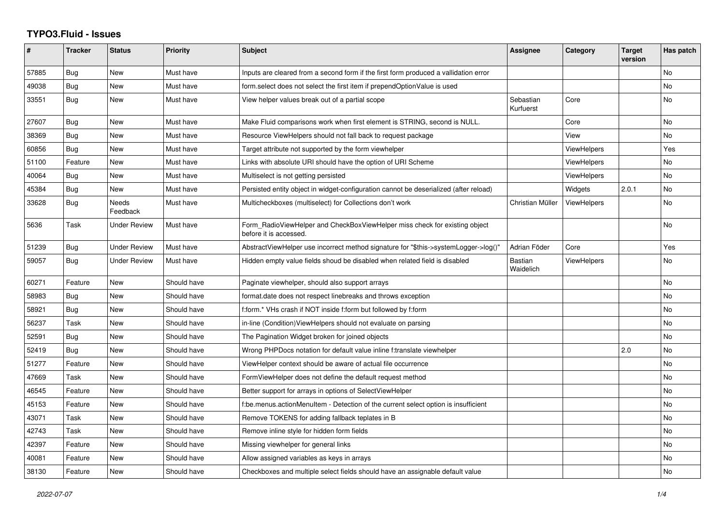## **TYPO3.Fluid - Issues**

| ∦     | <b>Tracker</b> | <b>Status</b>       | <b>Priority</b> | <b>Subject</b>                                                                                       | <b>Assignee</b>        | Category           | <b>Target</b><br>version | Has patch |
|-------|----------------|---------------------|-----------------|------------------------------------------------------------------------------------------------------|------------------------|--------------------|--------------------------|-----------|
| 57885 | <b>Bug</b>     | New                 | Must have       | Inputs are cleared from a second form if the first form produced a vallidation error                 |                        |                    |                          | No        |
| 49038 | Bug            | <b>New</b>          | Must have       | form.select does not select the first item if prependOptionValue is used                             |                        |                    |                          | No        |
| 33551 | Bug            | New                 | Must have       | View helper values break out of a partial scope                                                      | Sebastian<br>Kurfuerst | Core               |                          | No        |
| 27607 | Bug            | <b>New</b>          | Must have       | Make Fluid comparisons work when first element is STRING, second is NULL.                            |                        | Core               |                          | No        |
| 38369 | Bug            | New                 | Must have       | Resource ViewHelpers should not fall back to request package                                         |                        | View               |                          | No        |
| 60856 | Bug            | <b>New</b>          | Must have       | Target attribute not supported by the form viewhelper                                                |                        | ViewHelpers        |                          | Yes       |
| 51100 | Feature        | New                 | Must have       | Links with absolute URI should have the option of URI Scheme                                         |                        | <b>ViewHelpers</b> |                          | No        |
| 40064 | Bug            | New                 | Must have       | Multiselect is not getting persisted                                                                 |                        | ViewHelpers        |                          | No        |
| 45384 | Bug            | New                 | Must have       | Persisted entity object in widget-configuration cannot be deserialized (after reload)                |                        | Widgets            | 2.0.1                    | No        |
| 33628 | Bug            | Needs<br>Feedback   | Must have       | Multicheckboxes (multiselect) for Collections don't work                                             | Christian Müller       | ViewHelpers        |                          | No        |
| 5636  | Task           | <b>Under Review</b> | Must have       | Form_RadioViewHelper and CheckBoxViewHelper miss check for existing object<br>before it is accessed. |                        |                    |                          | No        |
| 51239 | Bug            | <b>Under Review</b> | Must have       | AbstractViewHelper use incorrect method signature for "\$this->systemLogger->log()"                  | Adrian Föder           | Core               |                          | Yes       |
| 59057 | Bug            | <b>Under Review</b> | Must have       | Hidden empty value fields shoud be disabled when related field is disabled                           | Bastian<br>Waidelich   | ViewHelpers        |                          | No        |
| 60271 | Feature        | New                 | Should have     | Paginate viewhelper, should also support arrays                                                      |                        |                    |                          | No        |
| 58983 | Bug            | New                 | Should have     | format.date does not respect linebreaks and throws exception                                         |                        |                    |                          | No.       |
| 58921 | Bug            | <b>New</b>          | Should have     | f:form.* VHs crash if NOT inside f:form but followed by f:form                                       |                        |                    |                          | No        |
| 56237 | Task           | New                 | Should have     | in-line (Condition) View Helpers should not evaluate on parsing                                      |                        |                    |                          | No        |
| 52591 | Bug            | New                 | Should have     | The Pagination Widget broken for joined objects                                                      |                        |                    |                          | No        |
| 52419 | Bug            | <b>New</b>          | Should have     | Wrong PHPDocs notation for default value inline f:translate viewhelper                               |                        |                    | 2.0                      | No        |
| 51277 | Feature        | New                 | Should have     | ViewHelper context should be aware of actual file occurrence                                         |                        |                    |                          | No        |
| 47669 | Task           | New                 | Should have     | FormViewHelper does not define the default request method                                            |                        |                    |                          | No.       |
| 46545 | Feature        | New                 | Should have     | Better support for arrays in options of SelectViewHelper                                             |                        |                    |                          | No        |
| 45153 | Feature        | New                 | Should have     | f:be.menus.actionMenuItem - Detection of the current select option is insufficient                   |                        |                    |                          | No        |
| 43071 | Task           | New                 | Should have     | Remove TOKENS for adding fallback teplates in B                                                      |                        |                    |                          | No        |
| 42743 | Task           | <b>New</b>          | Should have     | Remove inline style for hidden form fields                                                           |                        |                    |                          | No        |
| 42397 | Feature        | New                 | Should have     | Missing viewhelper for general links                                                                 |                        |                    |                          | No        |
| 40081 | Feature        | New                 | Should have     | Allow assigned variables as keys in arrays                                                           |                        |                    |                          | No        |
| 38130 | Feature        | <b>New</b>          | Should have     | Checkboxes and multiple select fields should have an assignable default value                        |                        |                    |                          | No        |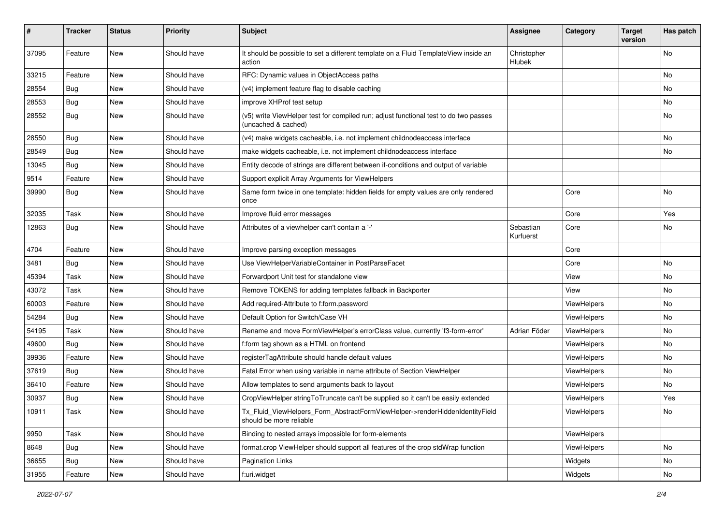| #     | <b>Tracker</b> | <b>Status</b> | <b>Priority</b> | <b>Subject</b>                                                                                              | <b>Assignee</b>        | Category    | <b>Target</b><br>version | Has patch |
|-------|----------------|---------------|-----------------|-------------------------------------------------------------------------------------------------------------|------------------------|-------------|--------------------------|-----------|
| 37095 | Feature        | New           | Should have     | It should be possible to set a different template on a Fluid TemplateView inside an<br>action               | Christopher<br>Hlubek  |             |                          | No        |
| 33215 | Feature        | New           | Should have     | RFC: Dynamic values in ObjectAccess paths                                                                   |                        |             |                          | No        |
| 28554 | Bug            | New           | Should have     | (v4) implement feature flag to disable caching                                                              |                        |             |                          | No        |
| 28553 | Bug            | New           | Should have     | improve XHProf test setup                                                                                   |                        |             |                          | No        |
| 28552 | Bug            | New           | Should have     | (v5) write ViewHelper test for compiled run; adjust functional test to do two passes<br>(uncached & cached) |                        |             |                          | No        |
| 28550 | Bug            | New           | Should have     | (v4) make widgets cacheable, i.e. not implement childnodeaccess interface                                   |                        |             |                          | No        |
| 28549 | <b>Bug</b>     | New           | Should have     | make widgets cacheable, i.e. not implement childnodeaccess interface                                        |                        |             |                          | No        |
| 13045 | Bug            | New           | Should have     | Entity decode of strings are different between if-conditions and output of variable                         |                        |             |                          |           |
| 9514  | Feature        | New           | Should have     | Support explicit Array Arguments for ViewHelpers                                                            |                        |             |                          |           |
| 39990 | Bug            | New           | Should have     | Same form twice in one template: hidden fields for empty values are only rendered<br>once                   |                        | Core        |                          | No        |
| 32035 | Task           | <b>New</b>    | Should have     | Improve fluid error messages                                                                                |                        | Core        |                          | Yes       |
| 12863 | Bug            | New           | Should have     | Attributes of a viewhelper can't contain a '-'                                                              | Sebastian<br>Kurfuerst | Core        |                          | No        |
| 4704  | Feature        | New           | Should have     | Improve parsing exception messages                                                                          |                        | Core        |                          |           |
| 3481  | Bug            | New           | Should have     | Use ViewHelperVariableContainer in PostParseFacet                                                           |                        | Core        |                          | No        |
| 45394 | Task           | New           | Should have     | Forwardport Unit test for standalone view                                                                   |                        | View        |                          | No        |
| 43072 | Task           | New           | Should have     | Remove TOKENS for adding templates fallback in Backporter                                                   |                        | View        |                          | No        |
| 60003 | Feature        | New           | Should have     | Add required-Attribute to f:form.password                                                                   |                        | ViewHelpers |                          | No        |
| 54284 | Bug            | New           | Should have     | Default Option for Switch/Case VH                                                                           |                        | ViewHelpers |                          | No        |
| 54195 | Task           | New           | Should have     | Rename and move FormViewHelper's errorClass value, currently 'f3-form-error'                                | Adrian Föder           | ViewHelpers |                          | No        |
| 49600 | Bug            | New           | Should have     | f:form tag shown as a HTML on frontend                                                                      |                        | ViewHelpers |                          | No        |
| 39936 | Feature        | New           | Should have     | registerTagAttribute should handle default values                                                           |                        | ViewHelpers |                          | No        |
| 37619 | Bug            | New           | Should have     | Fatal Error when using variable in name attribute of Section ViewHelper                                     |                        | ViewHelpers |                          | No        |
| 36410 | Feature        | New           | Should have     | Allow templates to send arguments back to layout                                                            |                        | ViewHelpers |                          | No        |
| 30937 | <b>Bug</b>     | New           | Should have     | CropViewHelper stringToTruncate can't be supplied so it can't be easily extended                            |                        | ViewHelpers |                          | Yes       |
| 10911 | Task           | New           | Should have     | Tx_Fluid_ViewHelpers_Form_AbstractFormViewHelper->renderHiddenIdentityField<br>should be more reliable      |                        | ViewHelpers |                          | NO.       |
| 9950  | Task           | New           | Should have     | Binding to nested arrays impossible for form-elements                                                       |                        | ViewHelpers |                          |           |
| 8648  | <b>Bug</b>     | New           | Should have     | format.crop ViewHelper should support all features of the crop stdWrap function                             |                        | ViewHelpers |                          | No        |
| 36655 | Bug            | New           | Should have     | Pagination Links                                                                                            |                        | Widgets     |                          | No        |
| 31955 | Feature        | New           | Should have     | f:uri.widget                                                                                                |                        | Widgets     |                          | No        |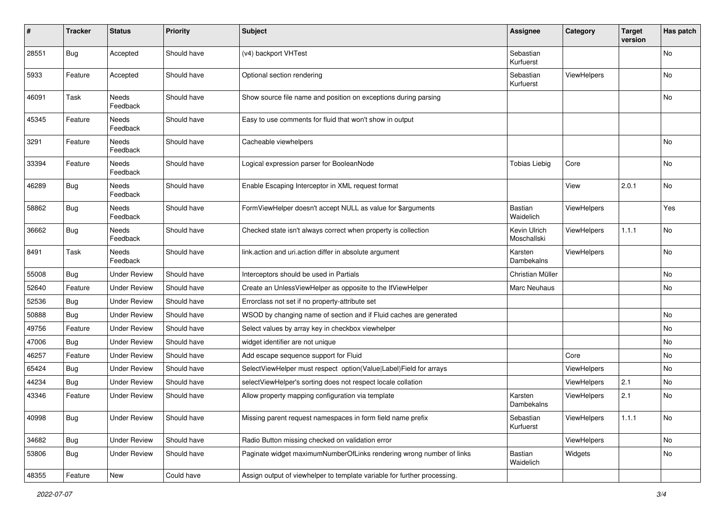| $\vert$ # | <b>Tracker</b> | <b>Status</b>       | <b>Priority</b> | <b>Subject</b>                                                           | <b>Assignee</b>             | Category    | <b>Target</b><br>version | Has patch |
|-----------|----------------|---------------------|-----------------|--------------------------------------------------------------------------|-----------------------------|-------------|--------------------------|-----------|
| 28551     | Bug            | Accepted            | Should have     | (v4) backport VHTest                                                     | Sebastian<br>Kurfuerst      |             |                          | No        |
| 5933      | Feature        | Accepted            | Should have     | Optional section rendering                                               | Sebastian<br>Kurfuerst      | ViewHelpers |                          | No        |
| 46091     | Task           | Needs<br>Feedback   | Should have     | Show source file name and position on exceptions during parsing          |                             |             |                          | No        |
| 45345     | Feature        | Needs<br>Feedback   | Should have     | Easy to use comments for fluid that won't show in output                 |                             |             |                          |           |
| 3291      | Feature        | Needs<br>Feedback   | Should have     | Cacheable viewhelpers                                                    |                             |             |                          | No        |
| 33394     | Feature        | Needs<br>Feedback   | Should have     | Logical expression parser for BooleanNode                                | <b>Tobias Liebig</b>        | Core        |                          | <b>No</b> |
| 46289     | Bug            | Needs<br>Feedback   | Should have     | Enable Escaping Interceptor in XML request format                        |                             | View        | 2.0.1                    | No.       |
| 58862     | Bug            | Needs<br>Feedback   | Should have     | FormViewHelper doesn't accept NULL as value for \$arguments              | <b>Bastian</b><br>Waidelich | ViewHelpers |                          | Yes       |
| 36662     | Bug            | Needs<br>Feedback   | Should have     | Checked state isn't always correct when property is collection           | Kevin Ulrich<br>Moschallski | ViewHelpers | 1.1.1                    | No        |
| 8491      | Task           | Needs<br>Feedback   | Should have     | link.action and uri.action differ in absolute argument                   | Karsten<br>Dambekalns       | ViewHelpers |                          | No        |
| 55008     | Bug            | <b>Under Review</b> | Should have     | Interceptors should be used in Partials                                  | Christian Müller            |             |                          | No        |
| 52640     | Feature        | <b>Under Review</b> | Should have     | Create an UnlessViewHelper as opposite to the IfViewHelper               | Marc Neuhaus                |             |                          | No        |
| 52536     | Bug            | <b>Under Review</b> | Should have     | Errorclass not set if no property-attribute set                          |                             |             |                          |           |
| 50888     | Bug            | <b>Under Review</b> | Should have     | WSOD by changing name of section and if Fluid caches are generated       |                             |             |                          | <b>No</b> |
| 49756     | Feature        | <b>Under Review</b> | Should have     | Select values by array key in checkbox viewhelper                        |                             |             |                          | No        |
| 47006     | Bug            | <b>Under Review</b> | Should have     | widget identifier are not unique                                         |                             |             |                          | No        |
| 46257     | Feature        | <b>Under Review</b> | Should have     | Add escape sequence support for Fluid                                    |                             | Core        |                          | No        |
| 65424     | Bug            | <b>Under Review</b> | Should have     | SelectViewHelper must respect option(Value Label)Field for arrays        |                             | ViewHelpers |                          | No        |
| 44234     | Bug            | <b>Under Review</b> | Should have     | selectViewHelper's sorting does not respect locale collation             |                             | ViewHelpers | 2.1                      | No        |
| 43346     | Feature        | <b>Under Review</b> | Should have     | Allow property mapping configuration via template                        | Karsten<br>Dambekalns       | ViewHelpers | 2.1                      | No        |
| 40998     | <b>Bug</b>     | <b>Under Review</b> | Should have     | Missing parent request namespaces in form field name prefix              | Sebastian<br>Kurfuerst      | ViewHelpers | 1.1.1                    | No        |
| 34682     | Bug            | <b>Under Review</b> | Should have     | Radio Button missing checked on validation error                         |                             | ViewHelpers |                          | No        |
| 53806     | <b>Bug</b>     | <b>Under Review</b> | Should have     | Paginate widget maximumNumberOfLinks rendering wrong number of links     | Bastian<br>Waidelich        | Widgets     |                          | No        |
| 48355     | Feature        | New                 | Could have      | Assign output of viewhelper to template variable for further processing. |                             |             |                          |           |